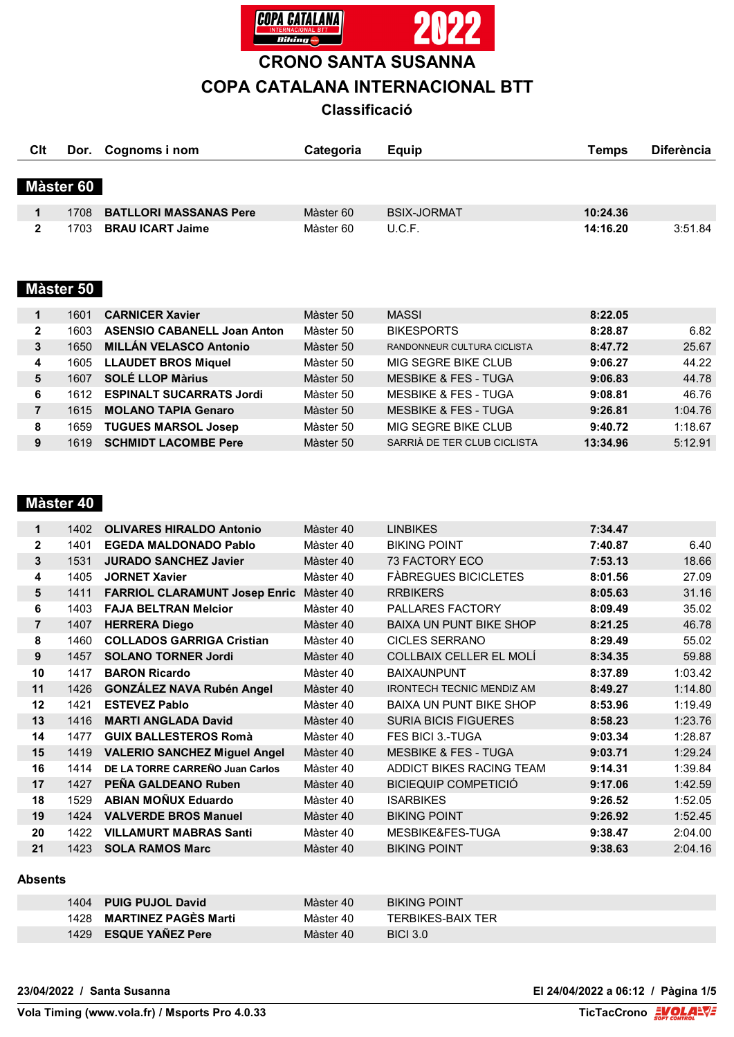

**CRONO SANTA SUSANNA**

# **COPA CATALANA INTERNACIONAL BTT**

# **Classificació**

| Clt |           | Dor. Cognoms i nom            | Categoria | Equip              | Temps    | <b>Diferència</b> |
|-----|-----------|-------------------------------|-----------|--------------------|----------|-------------------|
|     | Màster 60 |                               |           |                    |          |                   |
|     | 1708      | <b>BATLLORI MASSANAS Pere</b> | Màster 60 | <b>BSIX-JORMAT</b> | 10:24.36 |                   |
|     | 1703      | <b>BRAU ICART Jaime</b>       | Màster 60 | U.C.F.             | 14:16.20 | 3:51.84           |

#### **Màster 50**

|   | 1601 | <b>CARNICER Xavier</b>             | Màster 50 | <b>MASSI</b>                    | 8:22.05  |         |
|---|------|------------------------------------|-----------|---------------------------------|----------|---------|
| 2 | 1603 | <b>ASENSIO CABANELL Joan Anton</b> | Màster 50 | <b>BIKESPORTS</b>               | 8:28.87  | 6.82    |
| 3 | 1650 | <b>MILLÁN VELASCO Antonio</b>      | Màster 50 | RANDONNEUR CULTURA CICLISTA     | 8:47.72  | 25.67   |
|   | 1605 | <b>LLAUDET BROS Miquel</b>         | Màster 50 | MIG SEGRE BIKE CLUB             | 9:06.27  | 44.22   |
| 5 | 1607 | <b>SOLÉ LLOP Màrius</b>            | Màster 50 | <b>MESBIKE &amp; FES - TUGA</b> | 9:06.83  | 44.78   |
| 6 | 1612 | <b>ESPINALT SUCARRATS Jordi</b>    | Màster 50 | <b>MESBIKE &amp; FES - TUGA</b> | 9:08.81  | 46.76   |
|   | 1615 | <b>MOLANO TAPIA Genaro</b>         | Màster 50 | <b>MESBIKE &amp; FES - TUGA</b> | 9:26.81  | 1:04.76 |
| 8 | 1659 | <b>TUGUES MARSOL Josep</b>         | Màster 50 | MIG SEGRE BIKE CLUB             | 9:40.72  | 1:18.67 |
| 9 | 1619 | <b>SCHMIDT LACOMBE Pere</b>        | Màster 50 | SARRIÀ DE TER CLUB CICLISTA     | 13:34.96 | 5:12.91 |

## **Màster 40**

| 1              | 1402 | <b>OLIVARES HIRALDO Antonio</b>      | Màster 40 | <b>LINBIKES</b>                  | 7:34.47 |         |
|----------------|------|--------------------------------------|-----------|----------------------------------|---------|---------|
| $\mathbf{2}$   | 1401 | <b>EGEDA MALDONADO Pablo</b>         | Màster 40 | <b>BIKING POINT</b>              | 7:40.87 | 6.40    |
| 3              | 1531 | <b>JURADO SANCHEZ Javier</b>         | Màster 40 | 73 FACTORY ECO                   | 7:53.13 | 18.66   |
| 4              | 1405 | <b>JORNET Xavier</b>                 | Màster 40 | <b>FÀBREGUES BICICLETES</b>      | 8:01.56 | 27.09   |
| 5              | 1411 | <b>FARRIOL CLARAMUNT Josep Enric</b> | Màster 40 | <b>RRBIKERS</b>                  | 8:05.63 | 31.16   |
| 6              | 1403 | <b>FAJA BELTRAN Melcior</b>          | Màster 40 | PALLARES FACTORY                 | 8:09.49 | 35.02   |
| $\overline{7}$ | 1407 | <b>HERRERA Diego</b>                 | Màster 40 | <b>BAIXA UN PUNT BIKE SHOP</b>   | 8:21.25 | 46.78   |
| 8              | 1460 | <b>COLLADOS GARRIGA Cristian</b>     | Màster 40 | <b>CICLES SERRANO</b>            | 8:29.49 | 55.02   |
| 9              | 1457 | <b>SOLANO TORNER Jordi</b>           | Màster 40 | COLLBAIX CELLER EL MOLÍ          | 8:34.35 | 59.88   |
| 10             | 1417 | <b>BARON Ricardo</b>                 | Màster 40 | <b>BAIXAUNPUNT</b>               | 8:37.89 | 1:03.42 |
| 11             | 1426 | <b>GONZÁLEZ NAVA Rubén Angel</b>     | Màster 40 | <b>IRONTECH TECNIC MENDIZ AM</b> | 8:49.27 | 1:14.80 |
| 12             | 1421 | <b>ESTEVEZ Pablo</b>                 | Màster 40 | <b>BAIXA UN PUNT BIKE SHOP</b>   | 8:53.96 | 1:19.49 |
| 13             | 1416 | <b>MARTI ANGLADA David</b>           | Màster 40 | <b>SURIA BICIS FIGUERES</b>      | 8:58.23 | 1:23.76 |
| 14             | 1477 | <b>GUIX BALLESTEROS Romà</b>         | Màster 40 | <b>FES BICI 3.-TUGA</b>          | 9:03.34 | 1:28.87 |
| 15             | 1419 | <b>VALERIO SANCHEZ Miguel Angel</b>  | Màster 40 | <b>MESBIKE &amp; FES - TUGA</b>  | 9:03.71 | 1:29.24 |
| 16             | 1414 | DE LA TORRE CARREÑO Juan Carlos      | Màster 40 | ADDICT BIKES RACING TEAM         | 9:14.31 | 1:39.84 |
| 17             | 1427 | PEÑA GALDEANO Ruben                  | Màster 40 | <b>BICIEQUIP COMPETICIÓ</b>      | 9:17.06 | 1:42.59 |
| 18             | 1529 | <b>ABIAN MOÑUX Eduardo</b>           | Màster 40 | <b>ISARBIKES</b>                 | 9:26.52 | 1:52.05 |
| 19             | 1424 | <b>VALVERDE BROS Manuel</b>          | Màster 40 | <b>BIKING POINT</b>              | 9:26.92 | 1:52.45 |
| 20             | 1422 | <b>VILLAMURT MABRAS Santi</b>        | Màster 40 | MESBIKE&FES-TUGA                 | 9:38.47 | 2:04.00 |
| 21             | 1423 | <b>SOLA RAMOS Marc</b>               | Màster 40 | <b>BIKING POINT</b>              | 9:38.63 | 2:04.16 |
|                |      |                                      |           |                                  |         |         |

#### **Absents**

| 1404 PUIG PUJOL David     | Màster 40 | <b>BIKING POINT</b>      |
|---------------------------|-----------|--------------------------|
| 1428 MARTINEZ PAGES Marti | Màster 40 | <b>TERBIKES-BAIX TER</b> |
| 1429 ESQUE YAÑEZ Pere     | Màster 40 | <b>BICI 3.0</b>          |

**23/04/2022 / Santa Susanna El 24/04/2022 a 06:12 / Pàgina 1/5**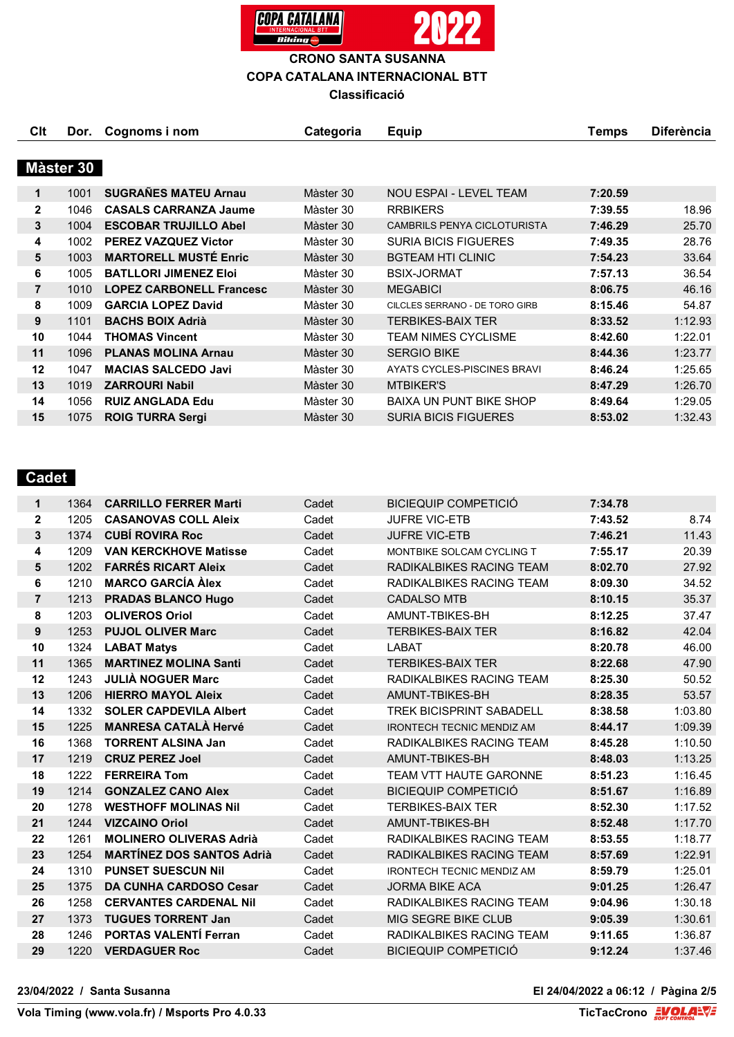

| Clt            | Dor.      | Cognoms i nom                   | Categoria | <b>Equip</b>                       | Temps   | <b>Diferència</b> |
|----------------|-----------|---------------------------------|-----------|------------------------------------|---------|-------------------|
|                |           |                                 |           |                                    |         |                   |
|                | Màster 30 |                                 |           |                                    |         |                   |
| 1              | 1001      | <b>SUGRAÑES MATEU Arnau</b>     | Màster 30 | NOU ESPAI - LEVEL TEAM             | 7:20.59 |                   |
| $\mathbf{2}$   | 1046      | <b>CASALS CARRANZA Jaume</b>    | Màster 30 | <b>RRBIKERS</b>                    | 7:39.55 | 18.96             |
| 3              | 1004      | <b>ESCOBAR TRUJILLO Abel</b>    | Màster 30 | <b>CAMBRILS PENYA CICLOTURISTA</b> | 7:46.29 | 25.70             |
| 4              | 1002      | <b>PEREZ VAZQUEZ Victor</b>     | Màster 30 | <b>SURIA BICIS FIGUERES</b>        | 7:49.35 | 28.76             |
| 5              | 1003      | <b>MARTORELL MUSTÉ Enric</b>    | Màster 30 | <b>BGTEAM HTI CLINIC</b>           | 7:54.23 | 33.64             |
| 6              | 1005      | <b>BATLLORI JIMENEZ Eloi</b>    | Màster 30 | <b>BSIX-JORMAT</b>                 | 7:57.13 | 36.54             |
| $\overline{7}$ | 1010      | <b>LOPEZ CARBONELL Francesc</b> | Màster 30 | <b>MEGABICI</b>                    | 8:06.75 | 46.16             |
| 8              | 1009      | <b>GARCIA LOPEZ David</b>       | Màster 30 | CILCLES SERRANO - DE TORO GIRB     | 8:15.46 | 54.87             |
| 9              | 1101      | <b>BACHS BOIX Adrià</b>         | Màster 30 | <b>TERBIKES-BAIX TER</b>           | 8:33.52 | 1:12.93           |
| 10             | 1044      | <b>THOMAS Vincent</b>           | Màster 30 | <b>TEAM NIMES CYCLISME</b>         | 8:42.60 | 1:22.01           |
| 11             | 1096      | <b>PLANAS MOLINA Arnau</b>      | Màster 30 | <b>SERGIO BIKE</b>                 | 8:44.36 | 1:23.77           |
| 12             | 1047      | <b>MACIAS SALCEDO Javi</b>      | Màster 30 | AYATS CYCLES-PISCINES BRAVI        | 8:46.24 | 1:25.65           |
| 13             | 1019      | <b>ZARROURI Nabil</b>           | Màster 30 | <b>MTBIKER'S</b>                   | 8:47.29 | 1:26.70           |
| 14             | 1056      | <b>RUIZ ANGLADA Edu</b>         | Màster 30 | <b>BAIXA UN PUNT BIKE SHOP</b>     | 8:49.64 | 1:29.05           |
| 15             | 1075      | <b>ROIG TURRA Sergi</b>         | Màster 30 | <b>SURIA BICIS FIGUERES</b>        | 8:53.02 | 1:32.43           |

## **Cadet**

| 1              | 1364 | <b>CARRILLO FERRER Marti</b>     | Cadet | <b>BICIEQUIP COMPETICIÓ</b>      | 7:34.78 |         |
|----------------|------|----------------------------------|-------|----------------------------------|---------|---------|
| $\mathbf{2}$   | 1205 | <b>CASANOVAS COLL Aleix</b>      | Cadet | 7:43.52<br><b>JUFRE VIC-ETB</b>  |         | 8.74    |
| 3              | 1374 | <b>CUBÍ ROVIRA Roc</b>           | Cadet | <b>JUFRE VIC-ETB</b><br>7:46.21  |         | 11.43   |
| 4              | 1209 | <b>VAN KERCKHOVE Matisse</b>     | Cadet | MONTBIKE SOLCAM CYCLING T        | 7:55.17 | 20.39   |
| 5              | 1202 | <b>FARRÉS RICART Aleix</b>       | Cadet | RADIKALBIKES RACING TEAM         | 8:02.70 | 27.92   |
| 6              | 1210 | <b>MARCO GARCÍA Àlex</b>         | Cadet | RADIKALBIKES RACING TEAM         | 8:09.30 | 34.52   |
| $\overline{7}$ | 1213 | <b>PRADAS BLANCO Hugo</b>        | Cadet | <b>CADALSO MTB</b>               | 8:10.15 | 35.37   |
| 8              | 1203 | <b>OLIVEROS Oriol</b>            | Cadet | AMUNT-TBIKES-BH                  | 8:12.25 | 37.47   |
| 9              | 1253 | <b>PUJOL OLIVER Marc</b>         | Cadet | <b>TERBIKES-BAIX TER</b>         | 8:16.82 | 42.04   |
| 10             | 1324 | <b>LABAT Matys</b>               | Cadet | <b>LABAT</b>                     | 8:20.78 | 46.00   |
| 11             | 1365 | <b>MARTINEZ MOLINA Santi</b>     | Cadet | <b>TERBIKES-BAIX TER</b>         | 8:22.68 | 47.90   |
| 12             | 1243 | <b>JULIA NOGUER Marc</b>         | Cadet | RADIKALBIKES RACING TEAM         | 8:25.30 | 50.52   |
| 13             | 1206 | <b>HIERRO MAYOL Aleix</b>        | Cadet | AMUNT-TBIKES-BH                  | 8:28.35 | 53.57   |
| 14             | 1332 | <b>SOLER CAPDEVILA Albert</b>    | Cadet | <b>TREK BICISPRINT SABADELL</b>  | 8:38.58 | 1:03.80 |
| 15             | 1225 | <b>MANRESA CATALÀ Hervé</b>      | Cadet | <b>IRONTECH TECNIC MENDIZ AM</b> | 8:44.17 | 1:09.39 |
| 16             | 1368 | <b>TORRENT ALSINA Jan</b>        | Cadet | RADIKALBIKES RACING TEAM         | 8:45.28 | 1:10.50 |
| 17             | 1219 | <b>CRUZ PEREZ Joel</b>           | Cadet | AMUNT-TBIKES-BH                  | 8:48.03 | 1:13.25 |
| 18             | 1222 | <b>FERREIRA Tom</b>              | Cadet | <b>TEAM VTT HAUTE GARONNE</b>    | 8:51.23 | 1:16.45 |
| 19             | 1214 | <b>GONZALEZ CANO Alex</b>        | Cadet | <b>BICIEQUIP COMPETICIÓ</b>      | 8:51.67 | 1:16.89 |
| 20             | 1278 | <b>WESTHOFF MOLINAS Nil</b>      | Cadet | <b>TERBIKES-BAIX TER</b>         | 8:52.30 | 1:17.52 |
| 21             | 1244 | <b>VIZCAINO Oriol</b>            | Cadet | AMUNT-TBIKES-BH                  | 8:52.48 | 1:17.70 |
| 22             | 1261 | <b>MOLINERO OLIVERAS Adrià</b>   | Cadet | RADIKALBIKES RACING TEAM         | 8:53.55 | 1:18.77 |
| 23             | 1254 | <b>MARTÍNEZ DOS SANTOS Adrià</b> | Cadet | RADIKALBIKES RACING TEAM         | 8:57.69 | 1:22.91 |
| 24             | 1310 | <b>PUNSET SUESCUN Nil</b>        | Cadet | <b>IRONTECH TECNIC MENDIZ AM</b> | 8:59.79 | 1:25.01 |
| 25             | 1375 | <b>DA CUNHA CARDOSO Cesar</b>    | Cadet | <b>JORMA BIKE ACA</b>            | 9:01.25 | 1:26.47 |
| 26             | 1258 | <b>CERVANTES CARDENAL Nil</b>    | Cadet | RADIKALBIKES RACING TEAM         | 9:04.96 | 1:30.18 |
| 27             | 1373 | <b>TUGUES TORRENT Jan</b>        | Cadet | MIG SEGRE BIKE CLUB              | 9:05.39 | 1:30.61 |
| 28             | 1246 | <b>PORTAS VALENTI Ferran</b>     | Cadet | RADIKALBIKES RACING TEAM         | 9:11.65 | 1:36.87 |
| 29             | 1220 | <b>VERDAGUER Roc</b>             | Cadet | <b>BICIEQUIP COMPETICIÓ</b>      | 9:12.24 | 1:37.46 |

**23/04/2022 / Santa Susanna El 24/04/2022 a 06:12 / Pàgina 2/5**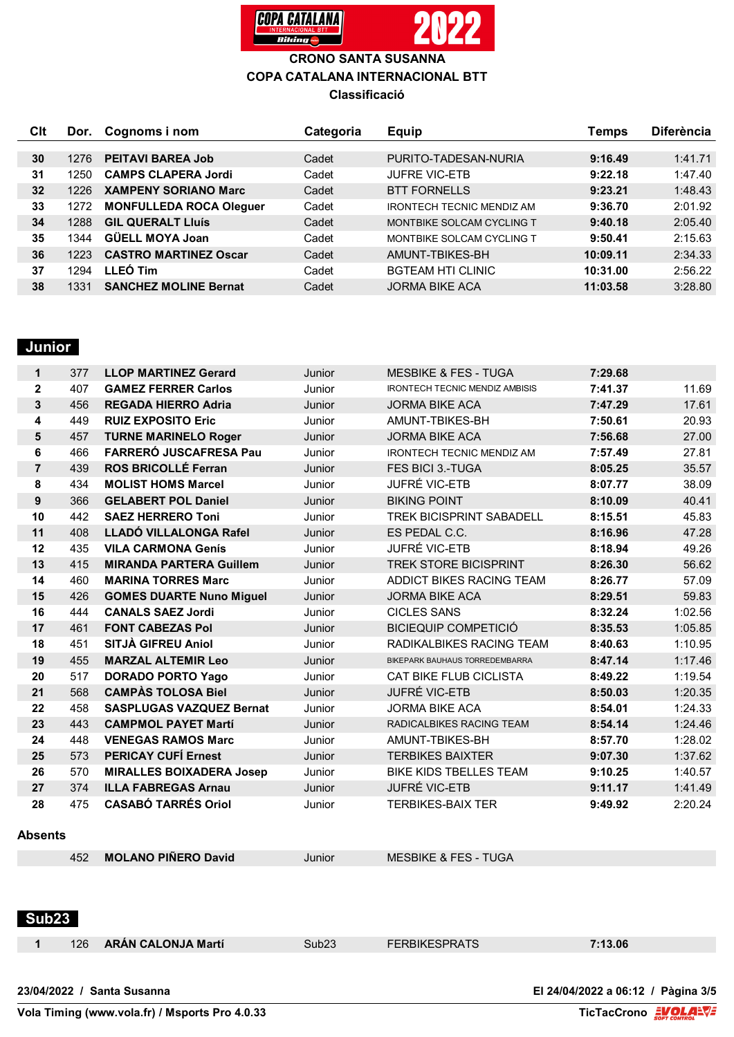

| Clt | Dor. | Cognoms i nom                  | Categoria | <b>Equip</b>                     | Temps    | <b>Diferència</b> |
|-----|------|--------------------------------|-----------|----------------------------------|----------|-------------------|
|     |      |                                |           |                                  |          |                   |
| 30  | 1276 | <b>PEITAVI BAREA Job</b>       | Cadet     | PURITO-TADESAN-NURIA             | 9:16.49  | 1:41.71           |
| 31  | 1250 | <b>CAMPS CLAPERA Jordi</b>     | Cadet     | <b>JUFRE VIC-ETB</b>             | 9:22.18  | 1:47.40           |
| 32  | 1226 | <b>XAMPENY SORIANO Marc</b>    | Cadet     | <b>BTT FORNELLS</b>              | 9:23.21  | 1:48.43           |
| 33  | 1272 | <b>MONFULLEDA ROCA Oleguer</b> | Cadet     | <b>IRONTECH TECNIC MENDIZ AM</b> | 9:36.70  | 2:01.92           |
| 34  | 1288 | <b>GIL QUERALT Lluís</b>       | Cadet     | MONTBIKE SOLCAM CYCLING T        | 9:40.18  | 2:05.40           |
| 35  | 1344 | <b>GÜELL MOYA Joan</b>         | Cadet     | MONTBIKE SOLCAM CYCLING T        | 9:50.41  | 2:15.63           |
| 36  | 1223 | <b>CASTRO MARTINEZ Oscar</b>   | Cadet     | AMUNT-TBIKES-BH                  | 10:09.11 | 2:34.33           |
| 37  | 1294 | LLEÓ Tim                       | Cadet     | <b>BGTEAM HTI CLINIC</b>         | 10:31.00 | 2:56.22           |
| 38  | 1331 | <b>SANCHEZ MOLINE Bernat</b>   | Cadet     | <b>JORMA BIKE ACA</b>            | 11:03.58 | 3:28.80           |

## **Junior**

| 1              | 377 | <b>LLOP MARTINEZ Gerard</b>     | Junior | <b>MESBIKE &amp; FES - TUGA</b>       | 7:29.68 |         |
|----------------|-----|---------------------------------|--------|---------------------------------------|---------|---------|
| $\mathbf{2}$   | 407 | <b>GAMEZ FERRER Carlos</b>      | Junior | <b>IRONTECH TECNIC MENDIZ AMBISIS</b> | 7:41.37 | 11.69   |
| 3              | 456 | <b>REGADA HIERRO Adria</b>      | Junior | <b>JORMA BIKE ACA</b>                 | 7:47.29 | 17.61   |
| 4              | 449 | <b>RUIZ EXPOSITO Eric</b>       | Junior | AMUNT-TBIKES-BH                       | 7:50.61 | 20.93   |
| 5              | 457 | <b>TURNE MARINELO Roger</b>     | Junior | <b>JORMA BIKE ACA</b>                 | 7:56.68 | 27.00   |
| 6              | 466 | <b>FARRERÓ JUSCAFRESA Pau</b>   | Junior | <b>IRONTECH TECNIC MENDIZ AM</b>      | 7:57.49 | 27.81   |
| $\overline{7}$ | 439 | <b>ROS BRICOLLÉ Ferran</b>      | Junior | FES BICI 3.-TUGA                      | 8:05.25 | 35.57   |
| 8              | 434 | <b>MOLIST HOMS Marcel</b>       | Junior | <b>JUFRÉ VIC-ETB</b>                  | 8:07.77 | 38.09   |
| 9              | 366 | <b>GELABERT POL Daniel</b>      | Junior | <b>BIKING POINT</b>                   | 8:10.09 | 40.41   |
| 10             | 442 | <b>SAEZ HERRERO Toni</b>        | Junior | TREK BICISPRINT SABADELL              | 8:15.51 | 45.83   |
| 11             | 408 | LLADÓ VILLALONGA Rafel          | Junior | ES PEDAL C.C.                         | 8:16.96 | 47.28   |
| 12             | 435 | <b>VILA CARMONA Genís</b>       | Junior | JUFRÉ VIC-ETB                         | 8:18.94 | 49.26   |
| 13             | 415 | <b>MIRANDA PARTERA Guillem</b>  | Junior | <b>TREK STORE BICISPRINT</b>          | 8:26.30 | 56.62   |
| 14             | 460 | <b>MARINA TORRES Marc</b>       | Junior | ADDICT BIKES RACING TEAM              | 8:26.77 | 57.09   |
| 15             | 426 | <b>GOMES DUARTE Nuno Miguel</b> | Junior | <b>JORMA BIKE ACA</b>                 | 8:29.51 | 59.83   |
| 16             | 444 | <b>CANALS SAEZ Jordi</b>        | Junior | <b>CICLES SANS</b>                    | 8:32.24 | 1:02.56 |
| 17             | 461 | <b>FONT CABEZAS Pol</b>         | Junior | <b>BICIEQUIP COMPETICIÓ</b>           | 8:35.53 | 1:05.85 |
| 18             | 451 | SITJÀ GIFREU Aniol              | Junior | RADIKALBIKES RACING TEAM              | 8:40.63 | 1:10.95 |
| 19             | 455 | <b>MARZAL ALTEMIR Leo</b>       | Junior | BIKEPARK BAUHAUS TORREDEMBARRA        | 8:47.14 | 1:17.46 |
| 20             | 517 | <b>DORADO PORTO Yago</b>        | Junior | <b>CAT BIKE FLUB CICLISTA</b>         | 8:49.22 | 1:19.54 |
| 21             | 568 | <b>CAMPAS TOLOSA Biel</b>       | Junior | JUFRÉ VIC-ETB                         | 8:50.03 | 1:20.35 |
| 22             | 458 | <b>SASPLUGAS VAZQUEZ Bernat</b> | Junior | <b>JORMA BIKE ACA</b>                 | 8:54.01 | 1:24.33 |
| 23             | 443 | <b>CAMPMOL PAYET Martí</b>      | Junior | RADICALBIKES RACING TEAM              | 8:54.14 | 1:24.46 |
| 24             | 448 | <b>VENEGAS RAMOS Marc</b>       | Junior | AMUNT-TBIKES-BH                       | 8:57.70 | 1:28.02 |
| 25             | 573 | <b>PERICAY CUFÍ Ernest</b>      | Junior | <b>TERBIKES BAIXTER</b>               | 9:07.30 | 1:37.62 |
| 26             | 570 | <b>MIRALLES BOIXADERA Josep</b> | Junior | <b>BIKE KIDS TBELLES TEAM</b>         | 9:10.25 | 1:40.57 |
| 27             | 374 | <b>ILLA FABREGAS Arnau</b>      | Junior | JUFRÉ VIC-ETB                         | 9:11.17 | 1:41.49 |
| 28             | 475 | <b>CASABÓ TARRÉS Oriol</b>      | Junior | <b>TERBIKES-BAIX TER</b>              | 9:49.92 | 2:20.24 |
|                |     |                                 |        |                                       |         |         |

#### **Absents**

| <b>MOLANO PINERO David</b> | Junior | <b>MESBIKE &amp; FES - TUGA</b> |  |
|----------------------------|--------|---------------------------------|--|
|                            |        |                                 |  |

 **Sub23** 

| ESPRATS<br>.06<br>`ub23<br>126<br><b>ARAN CALONJA Martí</b> |  |
|-------------------------------------------------------------|--|
|-------------------------------------------------------------|--|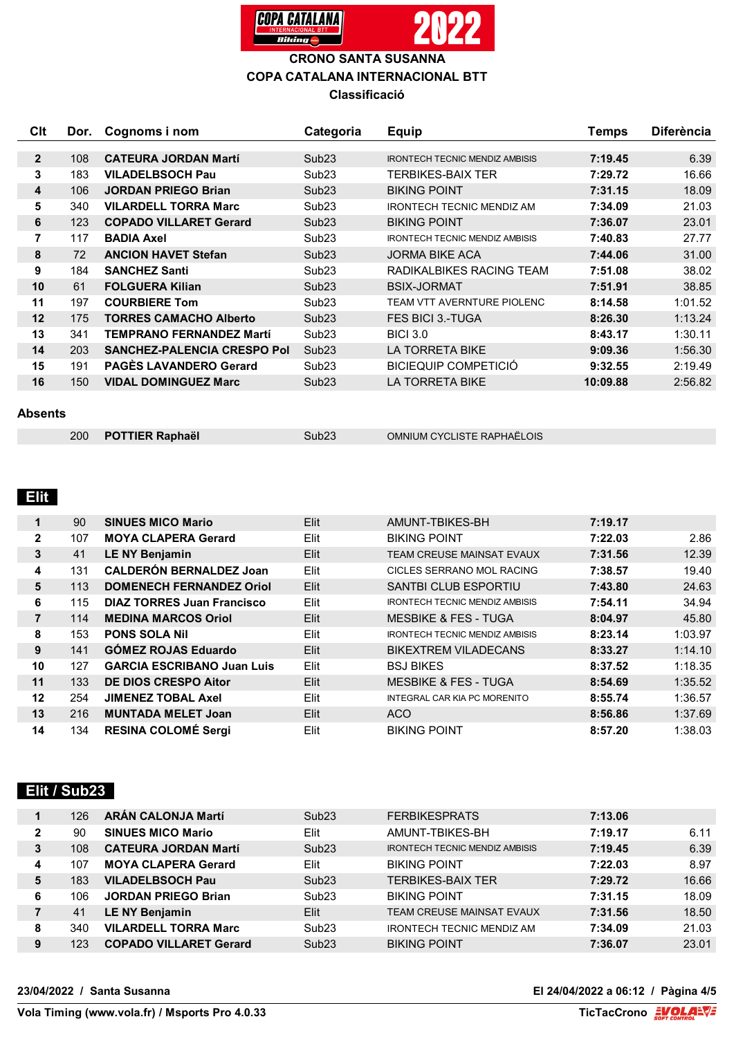

| Clt          | Dor. | Cognoms i nom                      | Categoria         | <b>Equip</b>                          | <b>Temps</b> | <b>Diferència</b> |
|--------------|------|------------------------------------|-------------------|---------------------------------------|--------------|-------------------|
|              |      |                                    |                   |                                       |              |                   |
| $\mathbf{2}$ | 108  | <b>CATEURA JORDAN Martí</b>        | Sub <sub>23</sub> | <b>IRONTECH TECNIC MENDIZ AMBISIS</b> | 7:19.45      | 6.39              |
| 3            | 183  | <b>VILADELBSOCH Pau</b>            | Sub <sub>23</sub> | <b>TERBIKES-BAIX TER</b>              | 7:29.72      | 16.66             |
| 4            | 106  | <b>JORDAN PRIEGO Brian</b>         | Sub <sub>23</sub> | <b>BIKING POINT</b>                   | 7:31.15      | 18.09             |
| 5            | 340  | <b>VILARDELL TORRA Marc</b>        | Sub <sub>23</sub> | <b>IRONTECH TECNIC MENDIZ AM</b>      | 7:34.09      | 21.03             |
| 6            | 123  | <b>COPADO VILLARET Gerard</b>      | Sub <sub>23</sub> | <b>BIKING POINT</b>                   | 7:36.07      | 23.01             |
| 7            | 117  | <b>BADIA Axel</b>                  | Sub <sub>23</sub> | <b>IRONTECH TECNIC MENDIZ AMBISIS</b> | 7:40.83      | 27.77             |
| 8            | 72   | <b>ANCION HAVET Stefan</b>         | Sub <sub>23</sub> | <b>JORMA BIKE ACA</b>                 | 7:44.06      | 31.00             |
| 9            | 184  | <b>SANCHEZ Santi</b>               | Sub <sub>23</sub> | RADIKALBIKES RACING TEAM              | 7:51.08      | 38.02             |
| 10           | 61   | <b>FOLGUERA Kilian</b>             | Sub <sub>23</sub> | <b>BSIX-JORMAT</b>                    | 7:51.91      | 38.85             |
| 11           | 197  | <b>COURBIERE Tom</b>               | Sub <sub>23</sub> | TEAM VTT AVERNTURE PIOLENC            | 8:14.58      | 1:01.52           |
| 12           | 175  | <b>TORRES CAMACHO Alberto</b>      | Sub <sub>23</sub> | <b>FES BICI 3.-TUGA</b>               | 8:26.30      | 1:13.24           |
| 13           | 341  | TEMPRANO FERNANDEZ Martí           | Sub <sub>23</sub> | <b>BICI 3.0</b>                       | 8:43.17      | 1:30.11           |
| 14           | 203  | <b>SANCHEZ-PALENCIA CRESPO Pol</b> | Sub <sub>23</sub> | <b>LA TORRETA BIKE</b>                | 9:09.36      | 1:56.30           |
| 15           | 191  | <b>PAGÈS LAVANDERO Gerard</b>      | Sub <sub>23</sub> | <b>BICIEQUIP COMPETICIÓ</b>           | 9:32.55      | 2:19.49           |
| 16           | 150  | <b>VIDAL DOMINGUEZ Marc</b>        | Sub <sub>23</sub> | <b>LA TORRETA BIKE</b>                | 10:09.88     | 2:56.82           |

#### **Absents**

|  | 200 POTTIER Raphaël | Sub23 | OMNIUM CYCLISTE RAPHAËLOIS |
|--|---------------------|-------|----------------------------|
|--|---------------------|-------|----------------------------|

# **Elit**

| 1            | 90  | <b>SINUES MICO Mario</b>          | Elit        | AMUNT-TBIKES-BH                       | 7:19.17 |         |
|--------------|-----|-----------------------------------|-------------|---------------------------------------|---------|---------|
| $\mathbf{2}$ | 107 | <b>MOYA CLAPERA Gerard</b>        | Elit        | <b>BIKING POINT</b>                   | 7:22.03 | 2.86    |
| 3            | 41  | <b>LE NY Benjamin</b>             | Elit        | TEAM CREUSE MAINSAT EVAUX             | 7:31.56 | 12.39   |
| 4            | 131 | <b>CALDERÓN BERNALDEZ Joan</b>    | Elit        | CICLES SERRANO MOL RACING             | 7:38.57 | 19.40   |
| 5            | 113 | <b>DOMENECH FERNANDEZ Oriol</b>   | Elit        | SANTBI CLUB ESPORTIU                  | 7:43.80 | 24.63   |
| 6            | 115 | <b>DIAZ TORRES Juan Francisco</b> | Elit        | <b>IRONTECH TECNIC MENDIZ AMBISIS</b> | 7:54.11 | 34.94   |
| 7            | 114 | <b>MEDINA MARCOS Oriol</b>        | Elit        | <b>MESBIKE &amp; FES - TUGA</b>       | 8:04.97 | 45.80   |
| 8            | 153 | <b>PONS SOLA Nil</b>              | Elit        | <b>IRONTECH TECNIC MENDIZ AMBISIS</b> | 8:23.14 | 1:03.97 |
| 9            | 141 | <b>GOMEZ ROJAS Eduardo</b>        | <b>Elit</b> | <b>BIKEXTREM VILADECANS</b>           | 8:33.27 | 1:14.10 |
| 10           | 127 | <b>GARCIA ESCRIBANO Juan Luis</b> | Elit        | <b>BSJ BIKES</b>                      | 8:37.52 | 1:18.35 |
| 11           | 133 | <b>DE DIOS CRESPO Aitor</b>       | Elit        | <b>MESBIKE &amp; FES - TUGA</b>       | 8:54.69 | 1:35.52 |
| 12           | 254 | <b>JIMENEZ TOBAL Axel</b>         | Elit        | <b>INTEGRAL CAR KIA PC MORENITO</b>   | 8:55.74 | 1:36.57 |
| 13           | 216 | <b>MUNTADA MELET Joan</b>         | Elit        | ACO                                   | 8:56.86 | 1:37.69 |
| 14           | 134 | <b>RESINA COLOMÉ Sergi</b>        | Elit        | <b>BIKING POINT</b>                   | 8:57.20 | 1:38.03 |

## **Elit / Sub23**

|              | 126 | <b>ARÁN CALONJA Martí</b>     | Sub23             | <b>FERBIKESPRATS</b>                  | 7:13.06 |       |
|--------------|-----|-------------------------------|-------------------|---------------------------------------|---------|-------|
| $\mathbf{2}$ | 90  | <b>SINUES MICO Mario</b>      | Elit              | AMUNT-TBIKES-BH                       | 7:19.17 | 6.11  |
| 3            | 108 | <b>CATEURA JORDAN Martí</b>   | Sub23             | <b>IRONTECH TECNIC MENDIZ AMBISIS</b> | 7:19.45 | 6.39  |
| 4            | 107 | <b>MOYA CLAPERA Gerard</b>    | Elit              | <b>BIKING POINT</b>                   | 7:22.03 | 8.97  |
| 5            | 183 | <b>VILADELBSOCH Pau</b>       | Sub23             | <b>TERBIKES-BAIX TER</b>              | 7:29.72 | 16.66 |
| 6            | 106 | <b>JORDAN PRIEGO Brian</b>    | Sub <sub>23</sub> | <b>BIKING POINT</b>                   | 7:31.15 | 18.09 |
|              | 41  | <b>LE NY Benjamin</b>         | Elit              | TEAM CREUSE MAINSAT EVAUX             | 7:31.56 | 18.50 |
| 8            | 340 | <b>VILARDELL TORRA Marc</b>   | Sub <sub>23</sub> | <b>IRONTECH TECNIC MENDIZ AM</b>      | 7:34.09 | 21.03 |
| 9            | 123 | <b>COPADO VILLARET Gerard</b> | Sub23             | <b>BIKING POINT</b>                   | 7:36.07 | 23.01 |

**23/04/2022 / Santa Susanna El 24/04/2022 a 06:12 / Pàgina 4/5**

**Vola Timing (www.vola.fr) / Msports Pro 4.0.33**